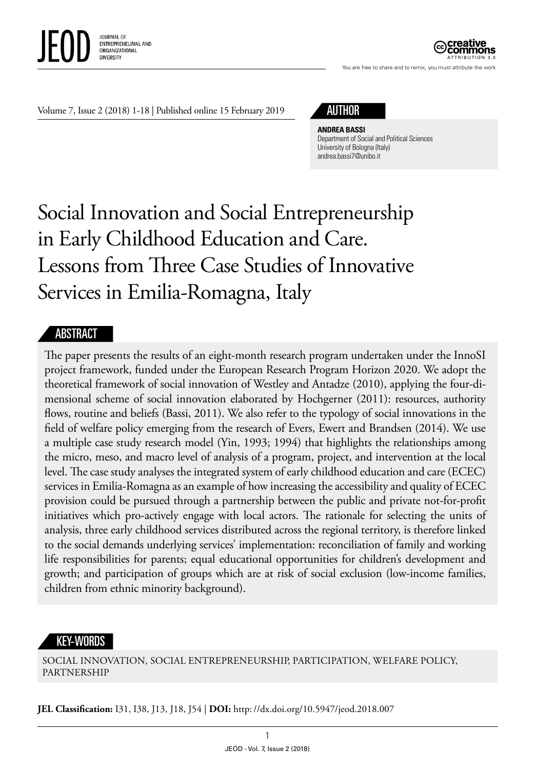

ATTRIBUTION 3.0

You are free to share and to remix, you must attribute the work

Volume 7, Issue 2 (2018) 1-18 | Published online 15 February 2019

# AUTHOR

#### **ANDREA BASSI**

Department of Social and Political Sciences University of Bologna (Italy) [andrea.bassi7@unibo.it](mailto:andrea.bassi7@unibo.it)

# Social Innovation and Social Entrepreneurship in Early Childhood Education and Care. Lessons from Three Case Studies of Innovative Services in Emilia-Romagna, Italy

#### **ABSTRACT**

The paper presents the results of an eight-month research program undertaken under the InnoSI project framework, funded under the European Research Program Horizon 2020. We adopt the theoretical framework of social innovation of Westley and Antadze (2010), applying the four-dimensional scheme of social innovation elaborated by Hochgerner (2011): resources, authority flows, routine and beliefs (Bassi, 2011). We also refer to the typology of social innovations in the field of welfare policy emerging from the research of Evers, Ewert and Brandsen (2014). We use a multiple case study research model (Yin, 1993; 1994) that highlights the relationships among the micro, meso, and macro level of analysis of a program, project, and intervention at the local level. The case study analyses the integrated system of early childhood education and care (ECEC) services in Emilia-Romagna as an example of how increasing the accessibility and quality of ECEC provision could be pursued through a partnership between the public and private not-for-profit initiatives which pro-actively engage with local actors. The rationale for selecting the units of analysis, three early childhood services distributed across the regional territory, is therefore linked to the social demands underlying services' implementation: reconciliation of family and working life responsibilities for parents; equal educational opportunities for children's development and growth; and participation of groups which are at risk of social exclusion (low-income families, children from ethnic minority background).

#### KEY-WORDS

SOCIAL INNOVATION, SOCIAL ENTREPRENEURSHIP, PARTICIPATION, WELFARE POLICY, PARTNERSHIP

**JEL Classification:** I31, I38, J13, J18, J54 | **DOI:** http: //dx.doi.org/10.5947/jeod.2018.007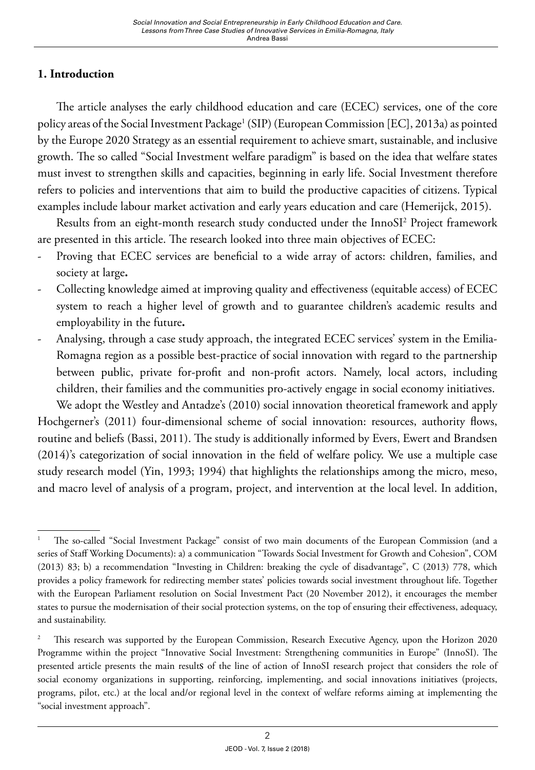#### **1. Introduction**

The article analyses the early childhood education and care (ECEC) services, one of the core policy areas of the Social Investment Package<sup>1</sup> (SIP) (European Commission [EC], 2013a) as pointed by the Europe 2020 Strategy as an essential requirement to achieve smart, sustainable, and inclusive growth. The so called "Social Investment welfare paradigm" is based on the idea that welfare states must invest to strengthen skills and capacities, beginning in early life. Social Investment therefore refers to policies and interventions that aim to build the productive capacities of citizens. Typical examples include labour market activation and early years education and care (Hemerijck, 2015).

Results from an eight-month research study conducted under the InnoSI2 Project framework are presented in this article. The research looked into three main objectives of ECEC:

- Proving that ECEC services are beneficial to a wide array of actors: children, families, and society at large**.**
- Collecting knowledge aimed at improving quality and effectiveness (equitable access) of ECEC system to reach a higher level of growth and to guarantee children's academic results and employability in the future**.**
- Analysing, through a case study approach, the integrated ECEC services' system in the Emilia-Romagna region as a possible best-practice of social innovation with regard to the partnership between public, private for-profit and non-profit actors. Namely, local actors, including children, their families and the communities pro-actively engage in social economy initiatives.

We adopt the Westley and Antadze's (2010) social innovation theoretical framework and apply Hochgerner's (2011) four-dimensional scheme of social innovation: resources, authority flows, routine and beliefs (Bassi, 2011). The study is additionally informed by Evers, Ewert and Brandsen (2014)'s categorization of social innovation in the field of welfare policy. We use a multiple case study research model (Yin, 1993; 1994) that highlights the relationships among the micro, meso, and macro level of analysis of a program, project, and intervention at the local level. In addition,

<sup>1</sup> The so-called "Social Investment Package" consist of two main documents of the European Commission (and a series of Staff Working Documents): a) a communication "Towards Social Investment for Growth and Cohesion", COM (2013) 83; b) a recommendation "Investing in Children: breaking the cycle of disadvantage", C (2013) 778, which provides a policy framework for redirecting member states' policies towards social investment throughout life. Together with the European Parliament resolution on Social Investment Pact (20 November 2012), it encourages the member states to pursue the modernisation of their social protection systems, on the top of ensuring their effectiveness, adequacy, and sustainability.

<sup>&</sup>lt;sup>2</sup> This research was supported by the European Commission, Research Executive Agency, upon the Horizon 2020 Programme within the project "Innovative Social Investment: Strengthening communities in Europe" (InnoSI). The presented article presents the main results of the line of action of InnoSI research project that considers the role of social economy organizations in supporting, reinforcing, implementing, and social innovations initiatives (projects, programs, pilot, etc.) at the local and/or regional level in the context of welfare reforms aiming at implementing the "social investment approach".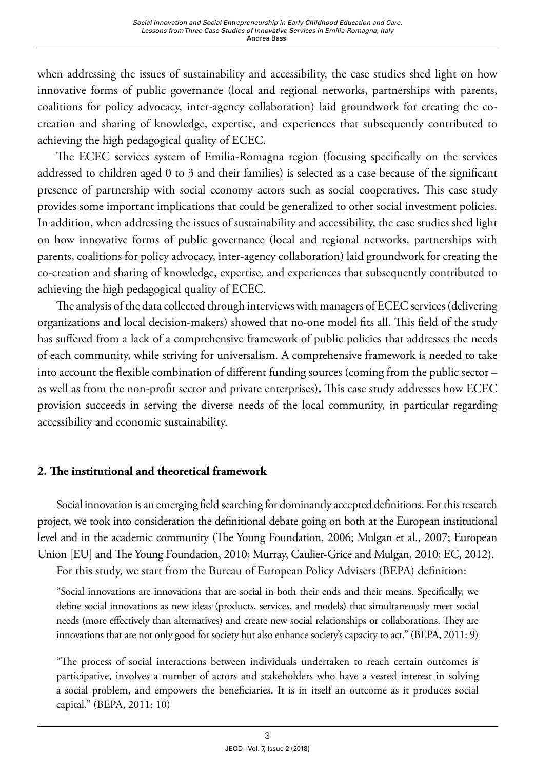when addressing the issues of sustainability and accessibility, the case studies shed light on how innovative forms of public governance (local and regional networks, partnerships with parents, coalitions for policy advocacy, inter-agency collaboration) laid groundwork for creating the cocreation and sharing of knowledge, expertise, and experiences that subsequently contributed to achieving the high pedagogical quality of ECEC.

The ECEC services system of Emilia-Romagna region (focusing specifically on the services addressed to children aged 0 to 3 and their families) is selected as a case because of the significant presence of partnership with social economy actors such as social cooperatives. This case study provides some important implications that could be generalized to other social investment policies. In addition, when addressing the issues of sustainability and accessibility, the case studies shed light on how innovative forms of public governance (local and regional networks, partnerships with parents, coalitions for policy advocacy, inter-agency collaboration) laid groundwork for creating the co-creation and sharing of knowledge, expertise, and experiences that subsequently contributed to achieving the high pedagogical quality of ECEC.

The analysis of the data collected through interviews with managers of ECEC services (delivering organizations and local decision-makers) showed that no-one model fits all. This field of the study has suffered from a lack of a comprehensive framework of public policies that addresses the needs of each community, while striving for universalism. A comprehensive framework is needed to take into account the flexible combination of different funding sources (coming from the public sector – as well as from the non-profit sector and private enterprises)**.** This case study addresses how ECEC provision succeeds in serving the diverse needs of the local community, in particular regarding accessibility and economic sustainability.

#### **2. The institutional and theoretical framework**

Social innovation is an emerging field searching for dominantly accepted definitions. For this research project, we took into consideration the definitional debate going on both at the European institutional level and in the academic community (The Young Foundation, 2006; Mulgan et al., 2007; European Union [EU] and The Young Foundation, 2010; Murray, Caulier-Grice and Mulgan, 2010; EC, 2012).

For this study, we start from the Bureau of European Policy Advisers (BEPA) definition:

"Social innovations are innovations that are social in both their ends and their means. Specifically, we define social innovations as new ideas (products, services, and models) that simultaneously meet social needs (more effectively than alternatives) and create new social relationships or collaborations. They are innovations that are not only good for society but also enhance society's capacity to act." (BEPA, 2011: 9)

"The process of social interactions between individuals undertaken to reach certain outcomes is participative, involves a number of actors and stakeholders who have a vested interest in solving a social problem, and empowers the beneficiaries. It is in itself an outcome as it produces social capital." (BEPA, 2011: 10)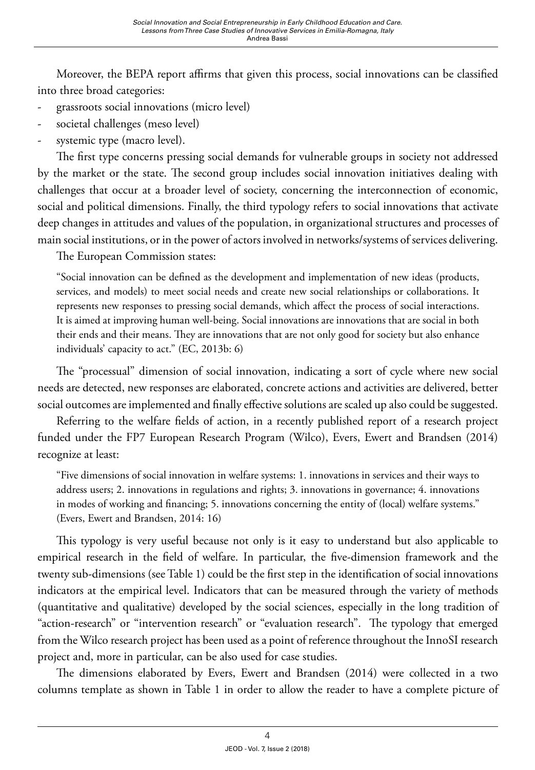Moreover, the BEPA report affirms that given this process, social innovations can be classified into three broad categories:

- grassroots social innovations (micro level)
- societal challenges (meso level)
- systemic type (macro level).

The first type concerns pressing social demands for vulnerable groups in society not addressed by the market or the state. The second group includes social innovation initiatives dealing with challenges that occur at a broader level of society, concerning the interconnection of economic, social and political dimensions. Finally, the third typology refers to social innovations that activate deep changes in attitudes and values of the population, in organizational structures and processes of main social institutions, or in the power of actors involved in networks/systems of services delivering.

The European Commission states:

"Social innovation can be defined as the development and implementation of new ideas (products, services, and models) to meet social needs and create new social relationships or collaborations. It represents new responses to pressing social demands, which affect the process of social interactions. It is aimed at improving human well-being. Social innovations are innovations that are social in both their ends and their means. They are innovations that are not only good for society but also enhance individuals' capacity to act." (EC, 2013b: 6)

The "processual" dimension of social innovation, indicating a sort of cycle where new social needs are detected, new responses are elaborated, concrete actions and activities are delivered, better social outcomes are implemented and finally effective solutions are scaled up also could be suggested.

Referring to the welfare fields of action, in a recently published report of a research project funded under the FP7 European Research Program (Wilco), Evers, Ewert and Brandsen (2014) recognize at least:

"Five dimensions of social innovation in welfare systems: 1. innovations in services and their ways to address users; 2. innovations in regulations and rights; 3. innovations in governance; 4. innovations in modes of working and financing; 5. innovations concerning the entity of (local) welfare systems." (Evers, Ewert and Brandsen, 2014: 16)

This typology is very useful because not only is it easy to understand but also applicable to empirical research in the field of welfare. In particular, the five-dimension framework and the twenty sub-dimensions (see Table 1) could be the first step in the identification of social innovations indicators at the empirical level. Indicators that can be measured through the variety of methods (quantitative and qualitative) developed by the social sciences, especially in the long tradition of "action-research" or "intervention research" or "evaluation research". The typology that emerged from the Wilco research project has been used as a point of reference throughout the InnoSI research project and, more in particular, can be also used for case studies.

The dimensions elaborated by Evers, Ewert and Brandsen (2014) were collected in a two columns template as shown in Table 1 in order to allow the reader to have a complete picture of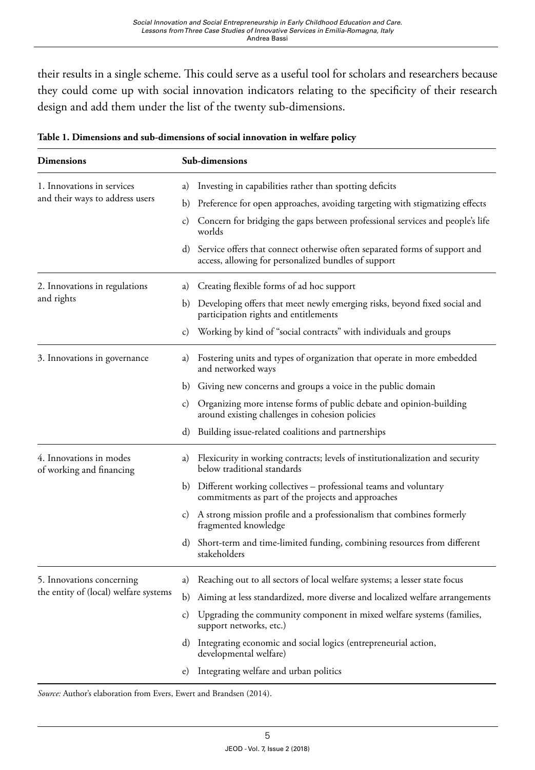their results in a single scheme. This could serve as a useful tool for scholars and researchers because they could come up with social innovation indicators relating to the specificity of their research design and add them under the list of the twenty sub-dimensions.

| Sub-dimensions |                                                                                                                                       |  |  |  |  |  |
|----------------|---------------------------------------------------------------------------------------------------------------------------------------|--|--|--|--|--|
| a)             | Investing in capabilities rather than spotting deficits                                                                               |  |  |  |  |  |
| b)             | Preference for open approaches, avoiding targeting with stigmatizing effects                                                          |  |  |  |  |  |
| C)             | Concern for bridging the gaps between professional services and people's life<br>worlds                                               |  |  |  |  |  |
|                | d) Service offers that connect otherwise often separated forms of support and<br>access, allowing for personalized bundles of support |  |  |  |  |  |
| a)             | Creating flexible forms of ad hoc support                                                                                             |  |  |  |  |  |
| b)             | Developing offers that meet newly emerging risks, beyond fixed social and<br>participation rights and entitlements                    |  |  |  |  |  |
| C)             | Working by kind of "social contracts" with individuals and groups                                                                     |  |  |  |  |  |
| a)             | Fostering units and types of organization that operate in more embedded<br>and networked ways                                         |  |  |  |  |  |
|                | b) Giving new concerns and groups a voice in the public domain                                                                        |  |  |  |  |  |
| C)             | Organizing more intense forms of public debate and opinion-building<br>around existing challenges in cohesion policies                |  |  |  |  |  |
| d)             | Building issue-related coalitions and partnerships                                                                                    |  |  |  |  |  |
| a)             | Flexicurity in working contracts; levels of institutionalization and security<br>below traditional standards                          |  |  |  |  |  |
|                | b) Different working collectives - professional teams and voluntary<br>commitments as part of the projects and approaches             |  |  |  |  |  |
| C)             | A strong mission profile and a professionalism that combines formerly<br>fragmented knowledge                                         |  |  |  |  |  |
|                | d) Short-term and time-limited funding, combining resources from different<br>stakeholders                                            |  |  |  |  |  |
| a)             | Reaching out to all sectors of local welfare systems; a lesser state focus                                                            |  |  |  |  |  |
| b)             | Aiming at less standardized, more diverse and localized welfare arrangements                                                          |  |  |  |  |  |
| C)             | Upgrading the community component in mixed welfare systems (families,<br>support networks, etc.)                                      |  |  |  |  |  |
|                | d) Integrating economic and social logics (entrepreneurial action,<br>developmental welfare)                                          |  |  |  |  |  |
| e)             | Integrating welfare and urban politics                                                                                                |  |  |  |  |  |
|                |                                                                                                                                       |  |  |  |  |  |

|  | Table 1. Dimensions and sub-dimensions of social innovation in welfare policy |  |  |  |  |  |  |
|--|-------------------------------------------------------------------------------|--|--|--|--|--|--|
|--|-------------------------------------------------------------------------------|--|--|--|--|--|--|

*Source:* Author's elaboration from Evers, Ewert and Brandsen (2014).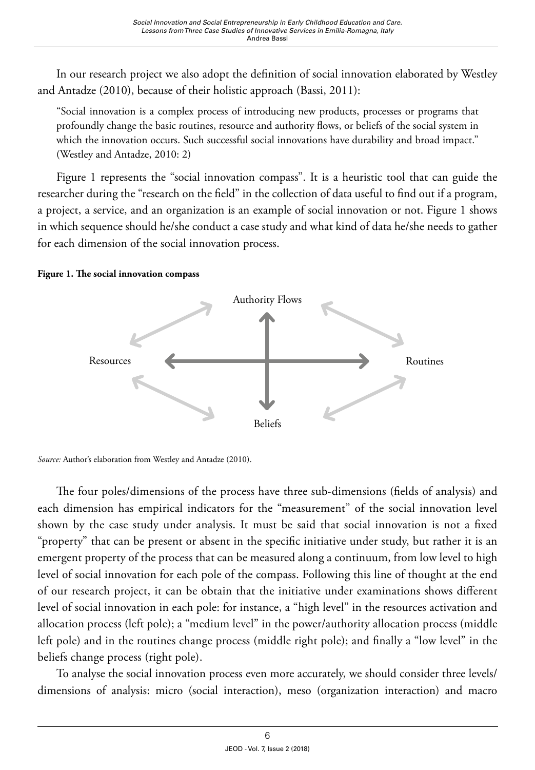In our research project we also adopt the definition of social innovation elaborated by Westley and Antadze (2010), because of their holistic approach (Bassi, 2011):

"Social innovation is a complex process of introducing new products, processes or programs that profoundly change the basic routines, resource and authority flows, or beliefs of the social system in which the innovation occurs. Such successful social innovations have durability and broad impact." (Westley and Antadze, 2010: 2)

Figure 1 represents the "social innovation compass". It is a heuristic tool that can guide the researcher during the "research on the field" in the collection of data useful to find out if a program, a project, a service, and an organization is an example of social innovation or not. Figure 1 shows in which sequence should he/she conduct a case study and what kind of data he/she needs to gather for each dimension of the social innovation process.

#### **Figure 1. The social innovation compass**





The four poles/dimensions of the process have three sub-dimensions (fields of analysis) and each dimension has empirical indicators for the "measurement" of the social innovation level shown by the case study under analysis. It must be said that social innovation is not a fixed "property" that can be present or absent in the specific initiative under study, but rather it is an emergent property of the process that can be measured along a continuum, from low level to high level of social innovation for each pole of the compass. Following this line of thought at the end of our research project, it can be obtain that the initiative under examinations shows different level of social innovation in each pole: for instance, a "high level" in the resources activation and allocation process (left pole); a "medium level" in the power/authority allocation process (middle left pole) and in the routines change process (middle right pole); and finally a "low level" in the beliefs change process (right pole).

To analyse the social innovation process even more accurately, we should consider three levels/ dimensions of analysis: micro (social interaction), meso (organization interaction) and macro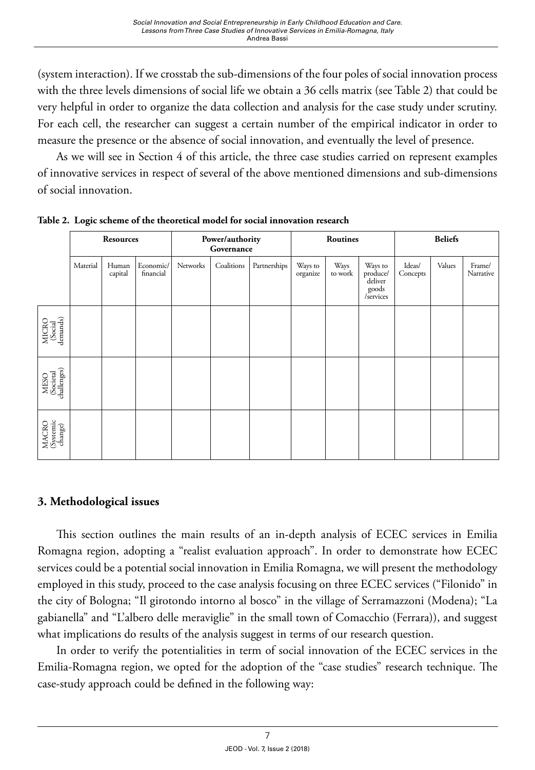(system interaction). If we crosstab the sub-dimensions of the four poles of social innovation process with the three levels dimensions of social life we obtain a 36 cells matrix (see Table 2) that could be very helpful in order to organize the data collection and analysis for the case study under scrutiny. For each cell, the researcher can suggest a certain number of the empirical indicator in order to measure the presence or the absence of social innovation, and eventually the level of presence.

As we will see in Section 4 of this article, the three case studies carried on represent examples of innovative services in respect of several of the above mentioned dimensions and sub-dimensions of social innovation.

|                                  | <b>Resources</b> |                  |                        | Power/authority<br>Governance |            |              | Routines            |                 |                                                      | <b>Beliefs</b>     |        |                     |
|----------------------------------|------------------|------------------|------------------------|-------------------------------|------------|--------------|---------------------|-----------------|------------------------------------------------------|--------------------|--------|---------------------|
|                                  | Material         | Human<br>capital | Economic/<br>financial | Networks                      | Coalitions | Partnerships | Ways to<br>organize | Ways<br>to work | Ways to<br>produce/<br>deliver<br>goods<br>/services | Ideas/<br>Concepts | Values | Frame/<br>Narrative |
| MICRO<br>(Social<br>demands)     |                  |                  |                        |                               |            |              |                     |                 |                                                      |                    |        |                     |
| MESO<br>(Societal<br>challenges) |                  |                  |                        |                               |            |              |                     |                 |                                                      |                    |        |                     |
| MACRO<br>(Systemic<br>change)    |                  |                  |                        |                               |            |              |                     |                 |                                                      |                    |        |                     |

**Table 2. Logic scheme of the theoretical model for social innovation research** 

#### **3. Methodological issues**

This section outlines the main results of an in-depth analysis of ECEC services in Emilia Romagna region, adopting a "realist evaluation approach". In order to demonstrate how ECEC services could be a potential social innovation in Emilia Romagna, we will present the methodology employed in this study, proceed to the case analysis focusing on three ECEC services ("Filonido" in the city of Bologna; "Il girotondo intorno al bosco" in the village of Serramazzoni (Modena); "La gabianella" and "L'albero delle meraviglie" in the small town of Comacchio (Ferrara)), and suggest what implications do results of the analysis suggest in terms of our research question.

In order to verify the potentialities in term of social innovation of the ECEC services in the Emilia-Romagna region, we opted for the adoption of the "case studies" research technique. The case-study approach could be defined in the following way: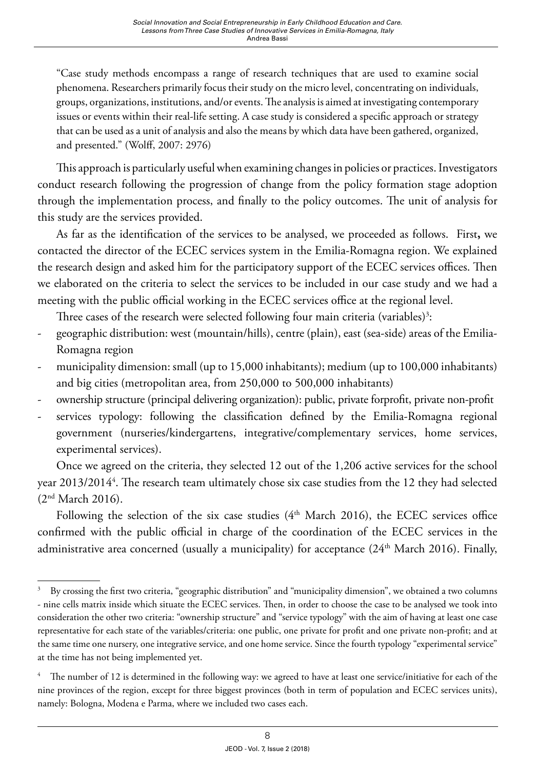"Case study methods encompass a range of research techniques that are used to examine social phenomena. Researchers primarily focus their study on the micro level, concentrating on individuals, groups, organizations, institutions, and/or events. The analysis is aimed at investigating contemporary issues or events within their real-life setting. A case study is considered a specific approach or strategy that can be used as a unit of analysis and also the means by which data have been gathered, organized, and presented." (Wolff, 2007: 2976)

This approach is particularly useful when examining changes in policies or practices. Investigators conduct research following the progression of change from the policy formation stage adoption through the implementation process, and finally to the policy outcomes. The unit of analysis for this study are the services provided.

As far as the identification of the services to be analysed, we proceeded as follows. First**,** we contacted the director of the ECEC services system in the Emilia-Romagna region. We explained the research design and asked him for the participatory support of the ECEC services offices. Then we elaborated on the criteria to select the services to be included in our case study and we had a meeting with the public official working in the ECEC services office at the regional level.

Three cases of the research were selected following four main criteria (variables) $^3$ :

- geographic distribution: west (mountain/hills), centre (plain), east (sea-side) areas of the Emilia-Romagna region
- municipality dimension: small (up to 15,000 inhabitants); medium (up to 100,000 inhabitants) and big cities (metropolitan area, from 250,000 to 500,000 inhabitants)
- ownership structure (principal delivering organization): public, private forprofit, private non-profit
- services typology: following the classification defined by the Emilia-Romagna regional government (nurseries/kindergartens, integrative/complementary services, home services, experimental services).

Once we agreed on the criteria, they selected 12 out of the 1,206 active services for the school year 2013/2014<sup>4</sup>. The research team ultimately chose six case studies from the 12 they had selected (2nd March 2016).

Following the selection of the six case studies ( $4<sup>th</sup>$  March 2016), the ECEC services office confirmed with the public official in charge of the coordination of the ECEC services in the administrative area concerned (usually a municipality) for acceptance  $(24<sup>th</sup> March 2016)$ . Finally,

<sup>&</sup>lt;sup>3</sup> By crossing the first two criteria, "geographic distribution" and "municipality dimension", we obtained a two columns - nine cells matrix inside which situate the ECEC services. Then, in order to choose the case to be analysed we took into consideration the other two criteria: "ownership structure" and "service typology" with the aim of having at least one case representative for each state of the variables/criteria: one public, one private for profit and one private non-profit; and at the same time one nursery, one integrative service, and one home service. Since the fourth typology "experimental service" at the time has not being implemented yet.

<sup>4</sup> The number of 12 is determined in the following way: we agreed to have at least one service/initiative for each of the nine provinces of the region, except for three biggest provinces (both in term of population and ECEC services units), namely: Bologna, Modena e Parma, where we included two cases each.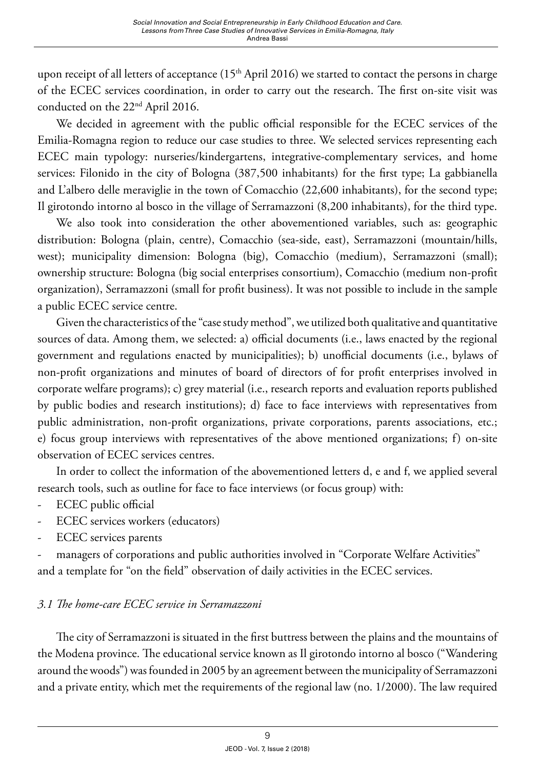upon receipt of all letters of acceptance  $(15<sup>th</sup>$  April 2016) we started to contact the persons in charge of the ECEC services coordination, in order to carry out the research. The first on-site visit was conducted on the 22<sup>nd</sup> April 2016.

We decided in agreement with the public official responsible for the ECEC services of the Emilia-Romagna region to reduce our case studies to three. We selected services representing each ECEC main typology: nurseries/kindergartens, integrative-complementary services, and home services: Filonido in the city of Bologna (387,500 inhabitants) for the first type; La gabbianella and L'albero delle meraviglie in the town of Comacchio (22,600 inhabitants), for the second type; Il girotondo intorno al bosco in the village of Serramazzoni (8,200 inhabitants), for the third type.

We also took into consideration the other abovementioned variables, such as: geographic distribution: Bologna (plain, centre), Comacchio (sea-side, east), Serramazzoni (mountain/hills, west); municipality dimension: Bologna (big), Comacchio (medium), Serramazzoni (small); ownership structure: Bologna (big social enterprises consortium), Comacchio (medium non-profit organization), Serramazzoni (small for profit business). It was not possible to include in the sample a public ECEC service centre.

Given the characteristics of the "case study method", we utilized both qualitative and quantitative sources of data. Among them, we selected: a) official documents (i.e., laws enacted by the regional government and regulations enacted by municipalities); b) unofficial documents (i.e., bylaws of non-profit organizations and minutes of board of directors of for profit enterprises involved in corporate welfare programs); c) grey material (i.e., research reports and evaluation reports published by public bodies and research institutions); d) face to face interviews with representatives from public administration, non-profit organizations, private corporations, parents associations, etc.; e) focus group interviews with representatives of the above mentioned organizations; f) on-site observation of ECEC services centres.

In order to collect the information of the abovementioned letters d, e and f, we applied several research tools, such as outline for face to face interviews (or focus group) with:

- ECEC public official
- ECEC services workers (educators)
- ECEC services parents

managers of corporations and public authorities involved in "Corporate Welfare Activities" and a template for "on the field" observation of daily activities in the ECEC services.

#### *3.1 The home-care ECEC service in Serramazzoni*

The city of Serramazzoni is situated in the first buttress between the plains and the mountains of the Modena province. The educational service known as Il girotondo intorno al bosco ("Wandering around the woods") was founded in 2005 by an agreement between the municipality of Serramazzoni and a private entity, which met the requirements of the regional law (no. 1/2000). The law required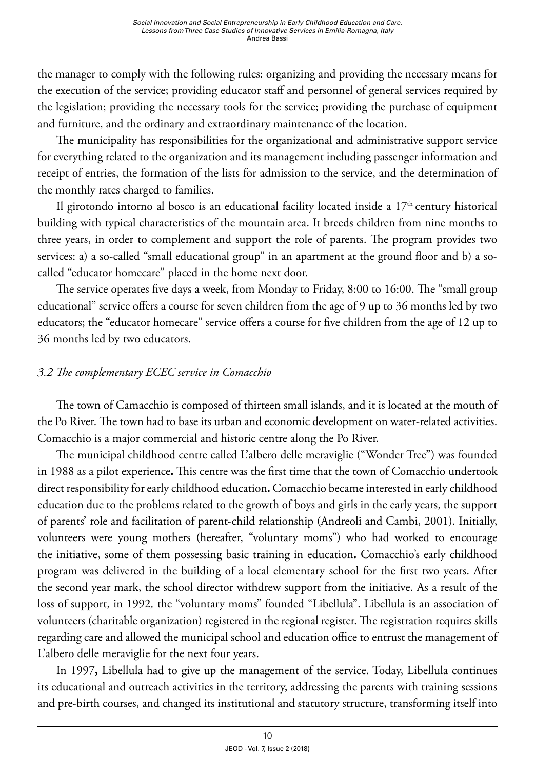the manager to comply with the following rules: organizing and providing the necessary means for the execution of the service; providing educator staff and personnel of general services required by the legislation; providing the necessary tools for the service; providing the purchase of equipment and furniture, and the ordinary and extraordinary maintenance of the location.

The municipality has responsibilities for the organizational and administrative support service for everything related to the organization and its management including passenger information and receipt of entries, the formation of the lists for admission to the service, and the determination of the monthly rates charged to families.

Il girotondo intorno al bosco is an educational facility located inside a 17<sup>th</sup> century historical building with typical characteristics of the mountain area. It breeds children from nine months to three years, in order to complement and support the role of parents. The program provides two services: a) a so-called "small educational group" in an apartment at the ground floor and b) a socalled "educator homecare" placed in the home next door.

The service operates five days a week, from Monday to Friday, 8:00 to 16:00. The "small group educational" service offers a course for seven children from the age of 9 up to 36 months led by two educators; the "educator homecare" service offers a course for five children from the age of 12 up to 36 months led by two educators.

#### *3.2 The complementary ECEC service in Comacchio*

The town of Camacchio is composed of thirteen small islands, and it is located at the mouth of the Po River. The town had to base its urban and economic development on water-related activities. Comacchio is a major commercial and historic centre along the Po River.

The municipal childhood centre called L'albero delle meraviglie ("Wonder Tree") was founded in 1988 as a pilot experience**.** This centre was the first time that the town of Comacchio undertook direct responsibility for early childhood education**.** Comacchio became interested in early childhood education due to the problems related to the growth of boys and girls in the early years, the support of parents' role and facilitation of parent-child relationship (Andreoli and Cambi, 2001). Initially, volunteers were young mothers (hereafter, "voluntary moms") who had worked to encourage the initiative, some of them possessing basic training in education**.** Comacchio's early childhood program was delivered in the building of a local elementary school for the first two years. After the second year mark, the school director withdrew support from the initiative. As a result of the loss of support, in 1992*,* the "voluntary moms" founded "Libellula". Libellula is an association of volunteers (charitable organization) registered in the regional register. The registration requires skills regarding care and allowed the municipal school and education office to entrust the management of L'albero delle meraviglie for the next four years.

In 1997**,** Libellula had to give up the management of the service. Today, Libellula continues its educational and outreach activities in the territory, addressing the parents with training sessions and pre-birth courses, and changed its institutional and statutory structure, transforming itself into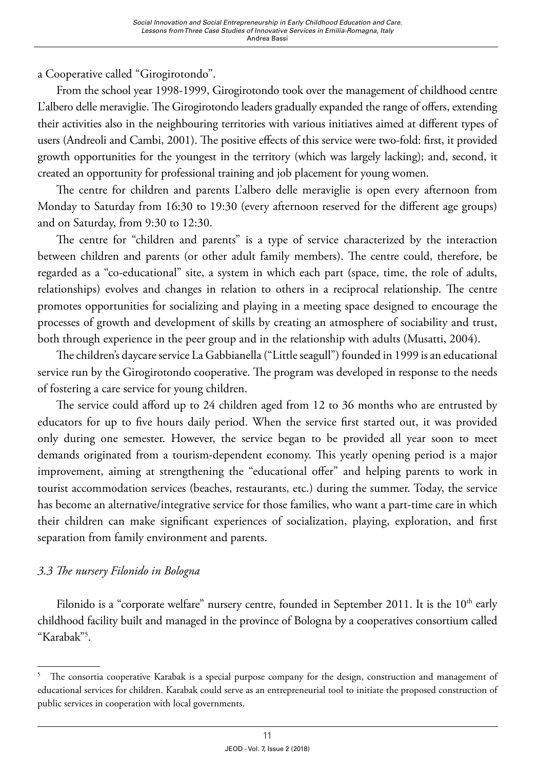a Cooperative called "Girogirotondo".

From the school year 1998-1999, Girogirotondo took over the management of childhood centre L'albero delle meraviglie. The Girogirotondo leaders gradually expanded the range of offers, extending their activities also in the neighbouring territories with various initiatives aimed at different types of users (Andreoli and Cambi, 2001). The positive effects of this service were two-fold: first, it provided growth opportunities for the youngest in the territory (which was largely lacking); and, second, it created an opportunity for professional training and job placement for young women.

The centre for children and parents L'albero delle meraviglie is open every afternoon from Monday to Saturday from 16:30 to 19:30 (every afternoon reserved for the different age groups) and on Saturday, from 9:30 to 12:30.

The centre for "children and parents" is a type of service characterized by the interaction between children and parents (or other adult family members). The centre could, therefore, be regarded as a "co-educational" site, a system in which each part (space, time, the role of adults, relationships) evolves and changes in relation to others in a reciprocal relationship. The centre promotes opportunities for socializing and playing in a meeting space designed to encourage the processes of growth and development of skills by creating an atmosphere of sociability and trust, both through experience in the peer group and in the relationship with adults (Musatti, 2004).

The children's daycare service La Gabbianella ("Little seagull") founded in 1999 is an educational service run by the Girogirotondo cooperative. The program was developed in response to the needs of fostering a care service for young children.

The service could afford up to 24 children aged from 12 to 36 months who are entrusted by educators for up to five hours daily period. When the service first started out, it was provided only during one semester. However, the service began to be provided all year soon to meet demands originated from a tourism-dependent economy. This yearly opening period is a major improvement, aiming at strengthening the "educational offer" and helping parents to work in tourist accommodation services (beaches, restaurants, etc.) during the summer. Today, the service has become an alternative/integrative service for those families, who want a part-time care in which their children can make significant experiences of socialization, playing, exploration, and first separation from family environment and parents.

# *3.3 The nursery Filonido in Bologna*

Filonido is a "corporate welfare" nursery centre, founded in September 2011. It is the 10<sup>th</sup> early childhood facility built and managed in the province of Bologna by a cooperatives consortium called "Karabak"5 .

The consortia cooperative Karabak is a special purpose company for the design, construction and management of educational services for children. Karabak could serve as an entrepreneurial tool to initiate the proposed construction of public services in cooperation with local governments.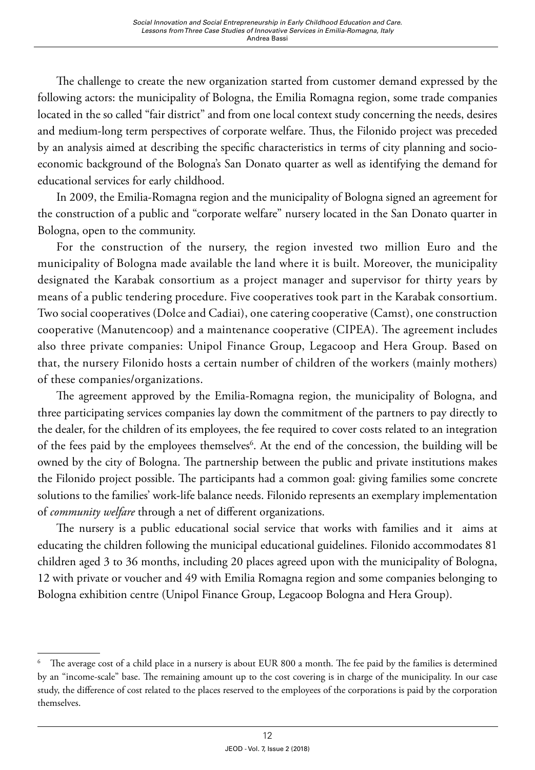The challenge to create the new organization started from customer demand expressed by the following actors: the municipality of Bologna, the Emilia Romagna region, some trade companies located in the so called "fair district" and from one local context study concerning the needs, desires and medium-long term perspectives of corporate welfare. Thus, the Filonido project was preceded by an analysis aimed at describing the specific characteristics in terms of city planning and socioeconomic background of the Bologna's San Donato quarter as well as identifying the demand for educational services for early childhood.

In 2009, the Emilia-Romagna region and the municipality of Bologna signed an agreement for the construction of a public and "corporate welfare" nursery located in the San Donato quarter in Bologna, open to the community.

For the construction of the nursery, the region invested two million Euro and the municipality of Bologna made available the land where it is built. Moreover, the municipality designated the Karabak consortium as a project manager and supervisor for thirty years by means of a public tendering procedure. Five cooperatives took part in the Karabak consortium. Two social cooperatives (Dolce and Cadiai), one catering cooperative (Camst), one construction cooperative (Manutencoop) and a maintenance cooperative (CIPEA). The agreement includes also three private companies: Unipol Finance Group, Legacoop and Hera Group. Based on that, the nursery Filonido hosts a certain number of children of the workers (mainly mothers) of these companies/organizations.

The agreement approved by the Emilia-Romagna region, the municipality of Bologna, and three participating services companies lay down the commitment of the partners to pay directly to the dealer, for the children of its employees, the fee required to cover costs related to an integration of the fees paid by the employees themselves<sup>6</sup>. At the end of the concession, the building will be owned by the city of Bologna. The partnership between the public and private institutions makes the Filonido project possible. The participants had a common goal: giving families some concrete solutions to the families' work-life balance needs. Filonido represents an exemplary implementation of *community welfare* through a net of different organizations.

The nursery is a public educational social service that works with families and it aims at educating the children following the municipal educational guidelines. Filonido accommodates 81 children aged 3 to 36 months, including 20 places agreed upon with the municipality of Bologna, 12 with private or voucher and 49 with Emilia Romagna region and some companies belonging to Bologna exhibition centre (Unipol Finance Group, Legacoop Bologna and Hera Group).

<sup>6</sup> The average cost of a child place in a nursery is about EUR 800 a month. The fee paid by the families is determined by an "income-scale" base. The remaining amount up to the cost covering is in charge of the municipality. In our case study, the difference of cost related to the places reserved to the employees of the corporations is paid by the corporation themselves.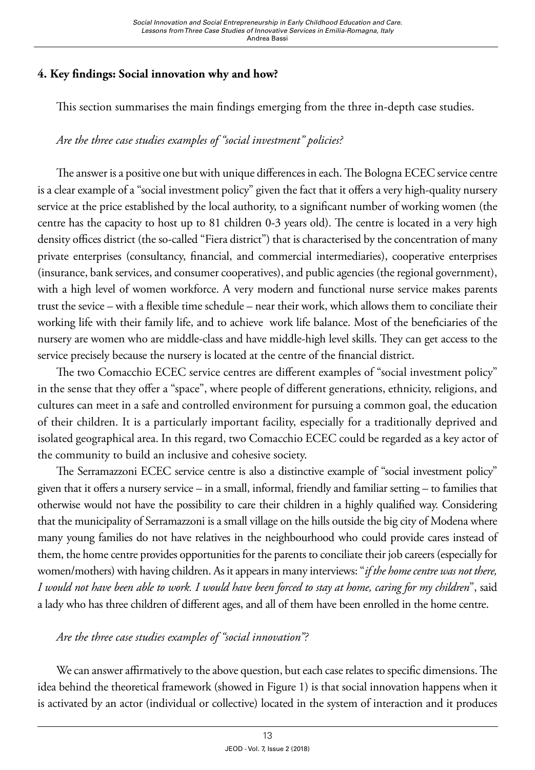### **4. Key findings: Social innovation why and how?**

This section summarises the main findings emerging from the three in-depth case studies.

# *Are the three case studies examples of "social investment" policies?*

The answer is a positive one but with unique differences in each. The Bologna ECEC service centre is a clear example of a "social investment policy" given the fact that it offers a very high-quality nursery service at the price established by the local authority, to a significant number of working women (the centre has the capacity to host up to 81 children 0-3 years old). The centre is located in a very high density offices district (the so-called "Fiera district") that is characterised by the concentration of many private enterprises (consultancy, financial, and commercial intermediaries), cooperative enterprises (insurance, bank services, and consumer cooperatives), and public agencies (the regional government), with a high level of women workforce. A very modern and functional nurse service makes parents trust the sevice – with a flexible time schedule – near their work, which allows them to conciliate their working life with their family life, and to achieve work life balance. Most of the beneficiaries of the nursery are women who are middle-class and have middle-high level skills. They can get access to the service precisely because the nursery is located at the centre of the financial district.

The two Comacchio ECEC service centres are different examples of "social investment policy" in the sense that they offer a "space", where people of different generations, ethnicity, religions, and cultures can meet in a safe and controlled environment for pursuing a common goal, the education of their children. It is a particularly important facility, especially for a traditionally deprived and isolated geographical area. In this regard, two Comacchio ECEC could be regarded as a key actor of the community to build an inclusive and cohesive society.

The Serramazzoni ECEC service centre is also a distinctive example of "social investment policy" given that it offers a nursery service – in a small, informal, friendly and familiar setting – to families that otherwise would not have the possibility to care their children in a highly qualified way. Considering that the municipality of Serramazzoni is a small village on the hills outside the big city of Modena where many young families do not have relatives in the neighbourhood who could provide cares instead of them, the home centre provides opportunities for the parents to conciliate their job careers (especially for women/mothers) with having children. As it appears in many interviews: "*if the home centre was not there, I would not have been able to work. I would have been forced to stay at home, caring for my children*", said a lady who has three children of different ages, and all of them have been enrolled in the home centre.

# *Are the three case studies examples of "social innovation"?*

We can answer affirmatively to the above question, but each case relates to specific dimensions. The idea behind the theoretical framework (showed in Figure 1) is that social innovation happens when it is activated by an actor (individual or collective) located in the system of interaction and it produces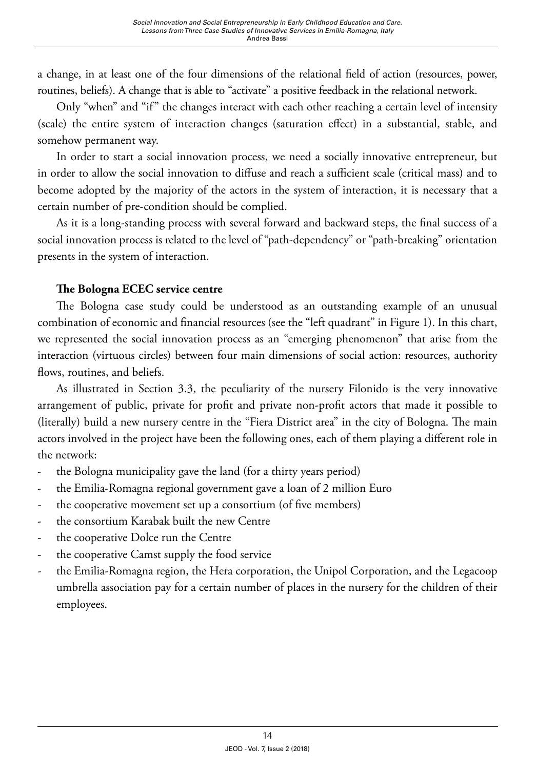a change, in at least one of the four dimensions of the relational field of action (resources, power, routines, beliefs). A change that is able to "activate" a positive feedback in the relational network.

Only "when" and "if" the changes interact with each other reaching a certain level of intensity (scale) the entire system of interaction changes (saturation effect) in a substantial, stable, and somehow permanent way.

In order to start a social innovation process, we need a socially innovative entrepreneur, but in order to allow the social innovation to diffuse and reach a sufficient scale (critical mass) and to become adopted by the majority of the actors in the system of interaction, it is necessary that a certain number of pre-condition should be complied.

As it is a long-standing process with several forward and backward steps, the final success of a social innovation process is related to the level of "path-dependency" or "path-breaking" orientation presents in the system of interaction.

#### **The Bologna ECEC service centre**

The Bologna case study could be understood as an outstanding example of an unusual combination of economic and financial resources (see the "left quadrant" in Figure 1). In this chart, we represented the social innovation process as an "emerging phenomenon" that arise from the interaction (virtuous circles) between four main dimensions of social action: resources, authority flows, routines, and beliefs.

As illustrated in Section 3.3, the peculiarity of the nursery Filonido is the very innovative arrangement of public, private for profit and private non-profit actors that made it possible to (literally) build a new nursery centre in the "Fiera District area" in the city of Bologna. The main actors involved in the project have been the following ones, each of them playing a different role in the network:

- the Bologna municipality gave the land (for a thirty years period)
- the Emilia-Romagna regional government gave a loan of 2 million Euro
- the cooperative movement set up a consortium (of five members)
- the consortium Karabak built the new Centre
- the cooperative Dolce run the Centre
- the cooperative Camst supply the food service
- the Emilia-Romagna region, the Hera corporation, the Unipol Corporation, and the Legacoop umbrella association pay for a certain number of places in the nursery for the children of their employees.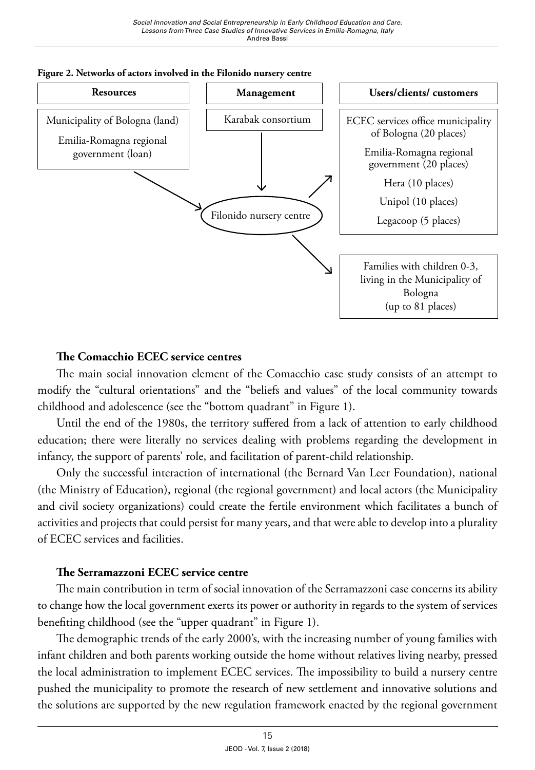



#### **The Comacchio ECEC service centres**

The main social innovation element of the Comacchio case study consists of an attempt to modify the "cultural orientations" and the "beliefs and values" of the local community towards childhood and adolescence (see the "bottom quadrant" in Figure 1).

Until the end of the 1980s, the territory suffered from a lack of attention to early childhood education; there were literally no services dealing with problems regarding the development in infancy, the support of parents' role, and facilitation of parent-child relationship.

Only the successful interaction of international (the Bernard Van Leer Foundation), national (the Ministry of Education), regional (the regional government) and local actors (the Municipality and civil society organizations) could create the fertile environment which facilitates a bunch of activities and projects that could persist for many years, and that were able to develop into a plurality of ECEC services and facilities.

#### **The Serramazzoni ECEC service centre**

The main contribution in term of social innovation of the Serramazzoni case concerns its ability to change how the local government exerts its power or authority in regards to the system of services benefiting childhood (see the "upper quadrant" in Figure 1).

The demographic trends of the early 2000's, with the increasing number of young families with infant children and both parents working outside the home without relatives living nearby, pressed the local administration to implement ECEC services. The impossibility to build a nursery centre pushed the municipality to promote the research of new settlement and innovative solutions and the solutions are supported by the new regulation framework enacted by the regional government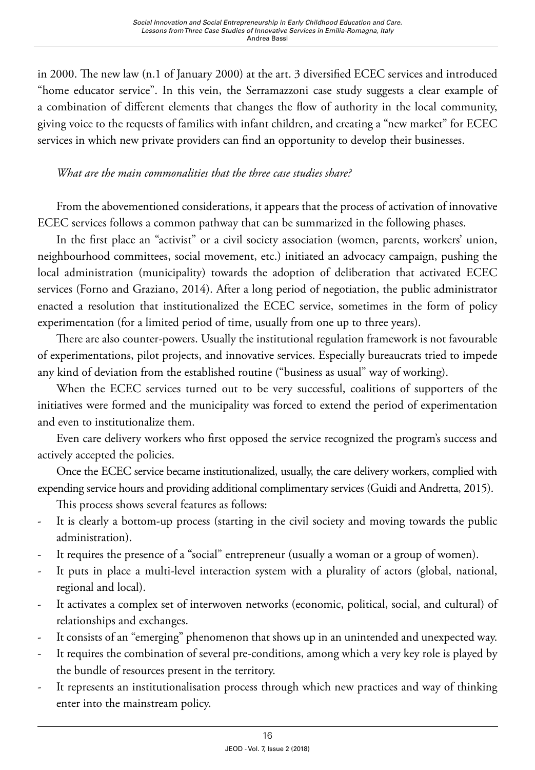in 2000. The new law (n.1 of January 2000) at the art. 3 diversified ECEC services and introduced "home educator service". In this vein, the Serramazzoni case study suggests a clear example of a combination of different elements that changes the flow of authority in the local community, giving voice to the requests of families with infant children, and creating a "new market" for ECEC services in which new private providers can find an opportunity to develop their businesses.

#### *What are the main commonalities that the three case studies share?*

From the abovementioned considerations, it appears that the process of activation of innovative ECEC services follows a common pathway that can be summarized in the following phases.

In the first place an "activist" or a civil society association (women, parents, workers' union, neighbourhood committees, social movement, etc.) initiated an advocacy campaign, pushing the local administration (municipality) towards the adoption of deliberation that activated ECEC services (Forno and Graziano, 2014). After a long period of negotiation, the public administrator enacted a resolution that institutionalized the ECEC service, sometimes in the form of policy experimentation (for a limited period of time, usually from one up to three years).

There are also counter-powers. Usually the institutional regulation framework is not favourable of experimentations, pilot projects, and innovative services. Especially bureaucrats tried to impede any kind of deviation from the established routine ("business as usual" way of working).

When the ECEC services turned out to be very successful, coalitions of supporters of the initiatives were formed and the municipality was forced to extend the period of experimentation and even to institutionalize them.

Even care delivery workers who first opposed the service recognized the program's success and actively accepted the policies.

Once the ECEC service became institutionalized, usually, the care delivery workers, complied with expending service hours and providing additional complimentary services (Guidi and Andretta, 2015).

This process shows several features as follows:

- It is clearly a bottom-up process (starting in the civil society and moving towards the public administration).
- It requires the presence of a "social" entrepreneur (usually a woman or a group of women).
- It puts in place a multi-level interaction system with a plurality of actors (global, national, regional and local).
- It activates a complex set of interwoven networks (economic, political, social, and cultural) of relationships and exchanges.
- It consists of an "emerging" phenomenon that shows up in an unintended and unexpected way.
- It requires the combination of several pre-conditions, among which a very key role is played by the bundle of resources present in the territory.
- It represents an institutionalisation process through which new practices and way of thinking enter into the mainstream policy.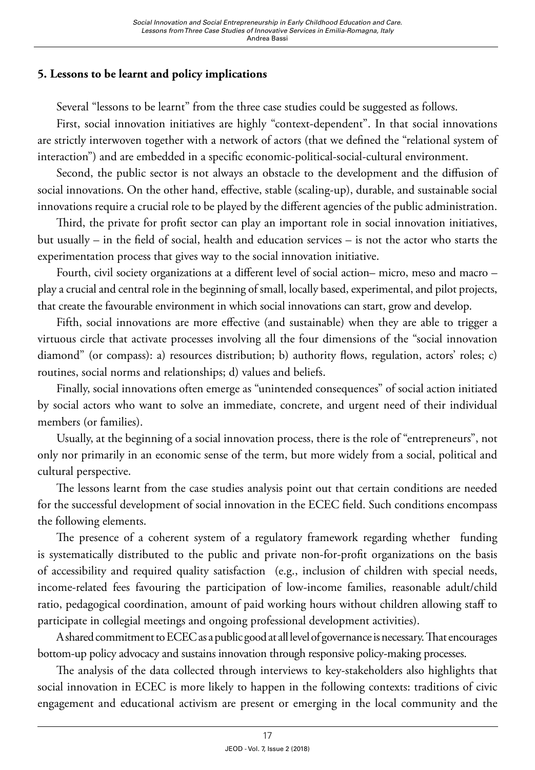#### **5. Lessons to be learnt and policy implications**

Several "lessons to be learnt" from the three case studies could be suggested as follows.

First, social innovation initiatives are highly "context-dependent". In that social innovations are strictly interwoven together with a network of actors (that we defined the "relational system of interaction") and are embedded in a specific economic-political-social-cultural environment.

Second, the public sector is not always an obstacle to the development and the diffusion of social innovations. On the other hand, effective, stable (scaling-up), durable, and sustainable social innovations require a crucial role to be played by the different agencies of the public administration.

Third, the private for profit sector can play an important role in social innovation initiatives, but usually – in the field of social, health and education services – is not the actor who starts the experimentation process that gives way to the social innovation initiative.

Fourth, civil society organizations at a different level of social action– micro, meso and macro – play a crucial and central role in the beginning of small, locally based, experimental, and pilot projects, that create the favourable environment in which social innovations can start, grow and develop.

Fifth, social innovations are more effective (and sustainable) when they are able to trigger a virtuous circle that activate processes involving all the four dimensions of the "social innovation diamond" (or compass): a) resources distribution; b) authority flows, regulation, actors' roles; c) routines, social norms and relationships; d) values and beliefs.

Finally, social innovations often emerge as "unintended consequences" of social action initiated by social actors who want to solve an immediate, concrete, and urgent need of their individual members (or families).

Usually, at the beginning of a social innovation process, there is the role of "entrepreneurs", not only nor primarily in an economic sense of the term, but more widely from a social, political and cultural perspective.

The lessons learnt from the case studies analysis point out that certain conditions are needed for the successful development of social innovation in the ECEC field. Such conditions encompass the following elements.

The presence of a coherent system of a regulatory framework regarding whether funding is systematically distributed to the public and private non-for-profit organizations on the basis of accessibility and required quality satisfaction (e.g., inclusion of children with special needs, income-related fees favouring the participation of low-income families, reasonable adult/child ratio, pedagogical coordination, amount of paid working hours without children allowing staff to participate in collegial meetings and ongoing professional development activities).

A shared commitment to ECEC as a public good at all level of governance is necessary. That encourages bottom-up policy advocacy and sustains innovation through responsive policy-making processes.

The analysis of the data collected through interviews to key-stakeholders also highlights that social innovation in ECEC is more likely to happen in the following contexts: traditions of civic engagement and educational activism are present or emerging in the local community and the